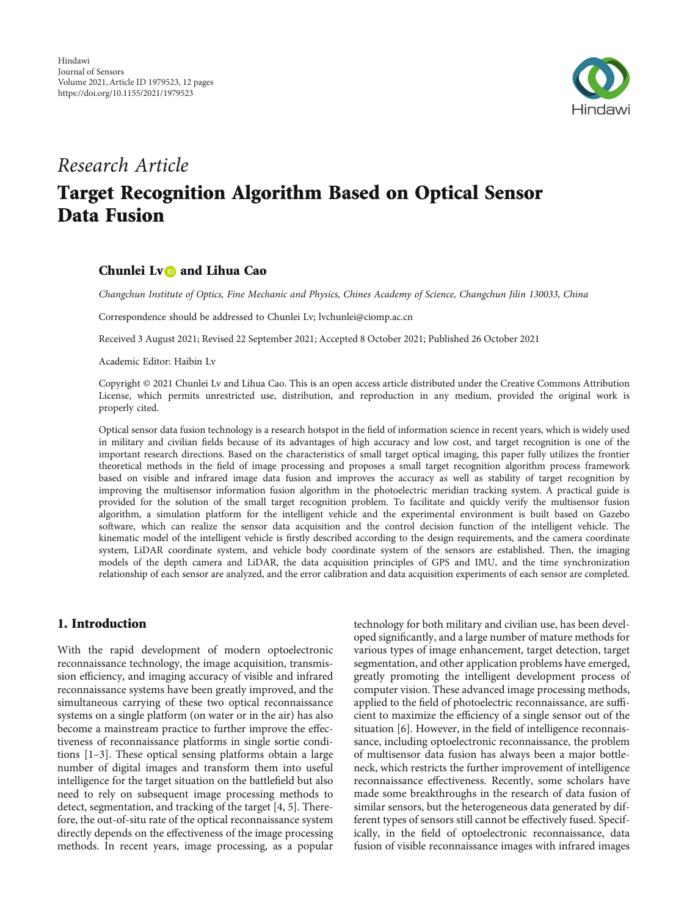

# Research Article

# Target Recognition Algorithm Based on Optical Sensor Data Fusion

# Chunlei Ly**D** and Lihua Cao

Changchun Institute of Optics, Fine Mechanic and Physics, Chines Academy of Science, Changchun Jilin 130033, China

Correspondence should be addressed to Chunlei Lv; lvchunlei@ciomp.ac.cn

Received 3 August 2021; Revised 22 September 2021; Accepted 8 October 2021; Published 26 October 2021

Academic Editor: Haibin Lv

Copyright © 2021 Chunlei Lv and Lihua Cao. This is an open access article distributed under the [Creative Commons Attribution](https://creativecommons.org/licenses/by/4.0/) [License,](https://creativecommons.org/licenses/by/4.0/) which permits unrestricted use, distribution, and reproduction in any medium, provided the original work is properly cited.

Optical sensor data fusion technology is a research hotspot in the field of information science in recent years, which is widely used in military and civilian fields because of its advantages of high accuracy and low cost, and target recognition is one of the important research directions. Based on the characteristics of small target optical imaging, this paper fully utilizes the frontier theoretical methods in the field of image processing and proposes a small target recognition algorithm process framework based on visible and infrared image data fusion and improves the accuracy as well as stability of target recognition by improving the multisensor information fusion algorithm in the photoelectric meridian tracking system. A practical guide is provided for the solution of the small target recognition problem. To facilitate and quickly verify the multisensor fusion algorithm, a simulation platform for the intelligent vehicle and the experimental environment is built based on Gazebo software, which can realize the sensor data acquisition and the control decision function of the intelligent vehicle. The kinematic model of the intelligent vehicle is firstly described according to the design requirements, and the camera coordinate system, LiDAR coordinate system, and vehicle body coordinate system of the sensors are established. Then, the imaging models of the depth camera and LiDAR, the data acquisition principles of GPS and IMU, and the time synchronization relationship of each sensor are analyzed, and the error calibration and data acquisition experiments of each sensor are completed.

# 1. Introduction

With the rapid development of modern optoelectronic reconnaissance technology, the image acquisition, transmission efficiency, and imaging accuracy of visible and infrared reconnaissance systems have been greatly improved, and the simultaneous carrying of these two optical reconnaissance systems on a single platform (on water or in the air) has also become a mainstream practice to further improve the effectiveness of reconnaissance platforms in single sortie conditions [[1](#page-10-0)–[3\]](#page-10-0). These optical sensing platforms obtain a large number of digital images and transform them into useful intelligence for the target situation on the battlefield but also need to rely on subsequent image processing methods to detect, segmentation, and tracking of the target [\[4, 5](#page-10-0)]. Therefore, the out-of-situ rate of the optical reconnaissance system directly depends on the effectiveness of the image processing methods. In recent years, image processing, as a popular technology for both military and civilian use, has been developed significantly, and a large number of mature methods for various types of image enhancement, target detection, target segmentation, and other application problems have emerged, greatly promoting the intelligent development process of computer vision. These advanced image processing methods, applied to the field of photoelectric reconnaissance, are sufficient to maximize the efficiency of a single sensor out of the situation [\[6\]](#page-10-0). However, in the field of intelligence reconnaissance, including optoelectronic reconnaissance, the problem of multisensor data fusion has always been a major bottleneck, which restricts the further improvement of intelligence reconnaissance effectiveness. Recently, some scholars have made some breakthroughs in the research of data fusion of similar sensors, but the heterogeneous data generated by different types of sensors still cannot be effectively fused. Specifically, in the field of optoelectronic reconnaissance, data fusion of visible reconnaissance images with infrared images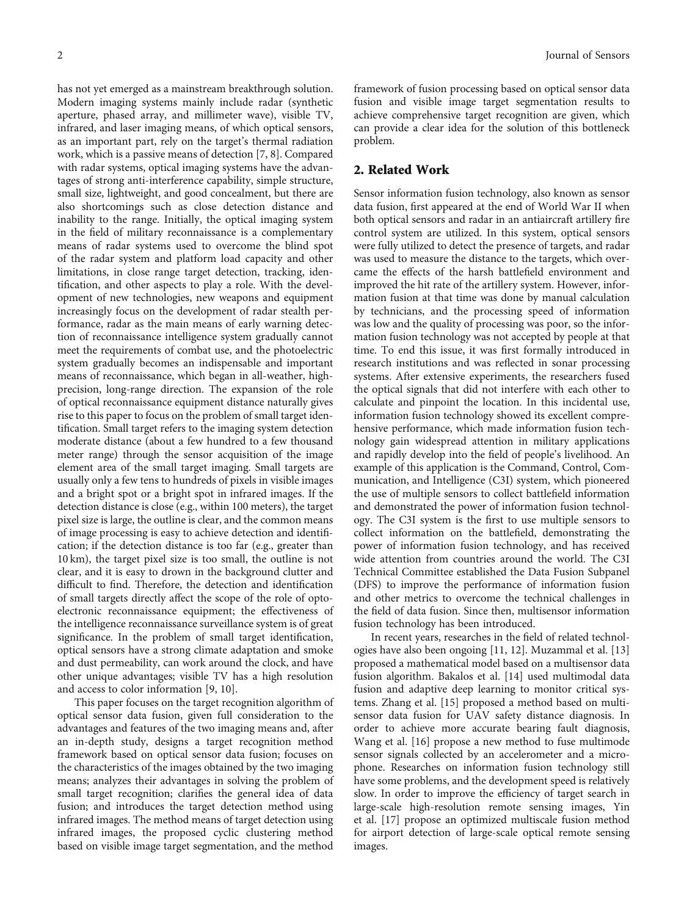has not yet emerged as a mainstream breakthrough solution. Modern imaging systems mainly include radar (synthetic aperture, phased array, and millimeter wave), visible TV, infrared, and laser imaging means, of which optical sensors, as an important part, rely on the target's thermal radiation work, which is a passive means of detection [[7, 8\]](#page-10-0). Compared with radar systems, optical imaging systems have the advantages of strong anti-interference capability, simple structure, small size, lightweight, and good concealment, but there are also shortcomings such as close detection distance and inability to the range. Initially, the optical imaging system in the field of military reconnaissance is a complementary means of radar systems used to overcome the blind spot of the radar system and platform load capacity and other limitations, in close range target detection, tracking, identification, and other aspects to play a role. With the development of new technologies, new weapons and equipment increasingly focus on the development of radar stealth performance, radar as the main means of early warning detection of reconnaissance intelligence system gradually cannot meet the requirements of combat use, and the photoelectric system gradually becomes an indispensable and important means of reconnaissance, which began in all-weather, highprecision, long-range direction. The expansion of the role of optical reconnaissance equipment distance naturally gives rise to this paper to focus on the problem of small target identification. Small target refers to the imaging system detection moderate distance (about a few hundred to a few thousand meter range) through the sensor acquisition of the image element area of the small target imaging. Small targets are usually only a few tens to hundreds of pixels in visible images and a bright spot or a bright spot in infrared images. If the detection distance is close (e.g., within 100 meters), the target pixel size is large, the outline is clear, and the common means of image processing is easy to achieve detection and identification; if the detection distance is too far (e.g., greater than 10 km), the target pixel size is too small, the outline is not clear, and it is easy to drown in the background clutter and difficult to find. Therefore, the detection and identification of small targets directly affect the scope of the role of optoelectronic reconnaissance equipment; the effectiveness of the intelligence reconnaissance surveillance system is of great significance. In the problem of small target identification, optical sensors have a strong climate adaptation and smoke and dust permeability, can work around the clock, and have other unique advantages; visible TV has a high resolution and access to color information [[9](#page-10-0), [10\]](#page-10-0).

This paper focuses on the target recognition algorithm of optical sensor data fusion, given full consideration to the advantages and features of the two imaging means and, after an in-depth study, designs a target recognition method framework based on optical sensor data fusion; focuses on the characteristics of the images obtained by the two imaging means; analyzes their advantages in solving the problem of small target recognition; clarifies the general idea of data fusion; and introduces the target detection method using infrared images. The method means of target detection using infrared images, the proposed cyclic clustering method based on visible image target segmentation, and the method framework of fusion processing based on optical sensor data fusion and visible image target segmentation results to achieve comprehensive target recognition are given, which can provide a clear idea for the solution of this bottleneck problem.

## 2. Related Work

Sensor information fusion technology, also known as sensor data fusion, first appeared at the end of World War II when both optical sensors and radar in an antiaircraft artillery fire control system are utilized. In this system, optical sensors were fully utilized to detect the presence of targets, and radar was used to measure the distance to the targets, which overcame the effects of the harsh battlefield environment and improved the hit rate of the artillery system. However, information fusion at that time was done by manual calculation by technicians, and the processing speed of information was low and the quality of processing was poor, so the information fusion technology was not accepted by people at that time. To end this issue, it was first formally introduced in research institutions and was reflected in sonar processing systems. After extensive experiments, the researchers fused the optical signals that did not interfere with each other to calculate and pinpoint the location. In this incidental use, information fusion technology showed its excellent comprehensive performance, which made information fusion technology gain widespread attention in military applications and rapidly develop into the field of people's livelihood. An example of this application is the Command, Control, Communication, and Intelligence (C3I) system, which pioneered the use of multiple sensors to collect battlefield information and demonstrated the power of information fusion technology. The C3I system is the first to use multiple sensors to collect information on the battlefield, demonstrating the power of information fusion technology, and has received wide attention from countries around the world. The C3I Technical Committee established the Data Fusion Subpanel (DFS) to improve the performance of information fusion and other metrics to overcome the technical challenges in the field of data fusion. Since then, multisensor information fusion technology has been introduced.

In recent years, researches in the field of related technologies have also been ongoing [\[11, 12](#page-10-0)]. Muzammal et al. [[13\]](#page-10-0) proposed a mathematical model based on a multisensor data fusion algorithm. Bakalos et al. [[14\]](#page-10-0) used multimodal data fusion and adaptive deep learning to monitor critical systems. Zhang et al. [[15\]](#page-10-0) proposed a method based on multisensor data fusion for UAV safety distance diagnosis. In order to achieve more accurate bearing fault diagnosis, Wang et al. [[16](#page-10-0)] propose a new method to fuse multimode sensor signals collected by an accelerometer and a microphone. Researches on information fusion technology still have some problems, and the development speed is relatively slow. In order to improve the efficiency of target search in large-scale high-resolution remote sensing images, Yin et al. [\[17\]](#page-10-0) propose an optimized multiscale fusion method for airport detection of large-scale optical remote sensing images.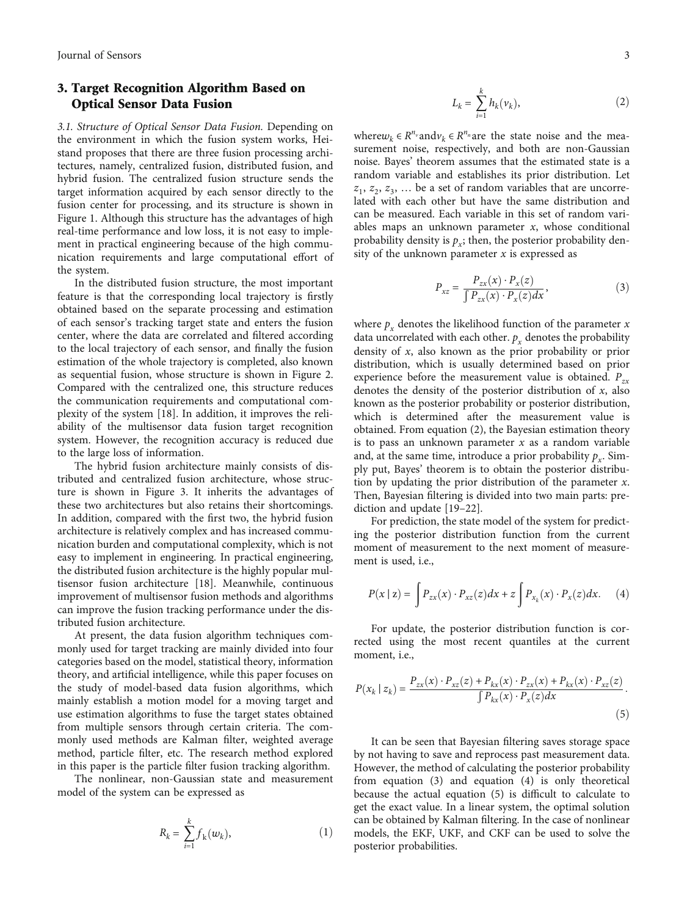# 3. Target Recognition Algorithm Based on Optical Sensor Data Fusion

3.1. Structure of Optical Sensor Data Fusion. Depending on the environment in which the fusion system works, Heistand proposes that there are three fusion processing architectures, namely, centralized fusion, distributed fusion, and hybrid fusion. The centralized fusion structure sends the target information acquired by each sensor directly to the fusion center for processing, and its structure is shown in Figure [1](#page-3-0). Although this structure has the advantages of high real-time performance and low loss, it is not easy to implement in practical engineering because of the high communication requirements and large computational effort of the system.

In the distributed fusion structure, the most important feature is that the corresponding local trajectory is firstly obtained based on the separate processing and estimation of each sensor's tracking target state and enters the fusion center, where the data are correlated and filtered according to the local trajectory of each sensor, and finally the fusion estimation of the whole trajectory is completed, also known as sequential fusion, whose structure is shown in Figure [2.](#page-3-0) Compared with the centralized one, this structure reduces the communication requirements and computational complexity of the system [[18](#page-10-0)]. In addition, it improves the reliability of the multisensor data fusion target recognition system. However, the recognition accuracy is reduced due to the large loss of information.

The hybrid fusion architecture mainly consists of distributed and centralized fusion architecture, whose structure is shown in Figure [3](#page-4-0). It inherits the advantages of these two architectures but also retains their shortcomings. In addition, compared with the first two, the hybrid fusion architecture is relatively complex and has increased communication burden and computational complexity, which is not easy to implement in engineering. In practical engineering, the distributed fusion architecture is the highly popular multisensor fusion architecture [[18](#page-10-0)]. Meanwhile, continuous improvement of multisensor fusion methods and algorithms can improve the fusion tracking performance under the distributed fusion architecture.

At present, the data fusion algorithm techniques commonly used for target tracking are mainly divided into four categories based on the model, statistical theory, information theory, and artificial intelligence, while this paper focuses on the study of model-based data fusion algorithms, which mainly establish a motion model for a moving target and use estimation algorithms to fuse the target states obtained from multiple sensors through certain criteria. The commonly used methods are Kalman filter, weighted average method, particle filter, etc. The research method explored in this paper is the particle filter fusion tracking algorithm.

The nonlinear, non-Gaussian state and measurement model of the system can be expressed as

$$
R_k = \sum_{i=1}^k f_k(w_k),\tag{1}
$$

$$
L_k = \sum_{i=1}^k h_k(\nu_k),\tag{2}
$$

where $w_k \in R^{n_v}$  and  $v_k \in R^{n_n}$  are the state noise and the measurement noise, respectively, and both are non-Gaussian noise. Bayes' theorem assumes that the estimated state is a random variable and establishes its prior distribution. Let  $z_1$ ,  $z_2$ ,  $z_3$ , ... be a set of random variables that are uncorrelated with each other but have the same distribution and can be measured. Each variable in this set of random variables maps an unknown parameter *x*, whose conditional probability density is  $p_x$ ; then, the posterior probability density of the unknown parameter *x* is expressed as

$$
P_{xz} = \frac{P_{zx}(x) \cdot P_x(z)}{\int P_{zx}(x) \cdot P_x(z) dx},\tag{3}
$$

where  $p_x$  denotes the likelihood function of the parameter  $x$ data uncorrelated with each other.  $p<sub>x</sub>$  denotes the probability density of *x*, also known as the prior probability or prior distribution, which is usually determined based on prior experience before the measurement value is obtained.  $P_{zx}$ denotes the density of the posterior distribution of *x*, also known as the posterior probability or posterior distribution, which is determined after the measurement value is obtained. From equation (2), the Bayesian estimation theory is to pass an unknown parameter *x* as a random variable and, at the same time, introduce a prior probability  $p_{\gamma}$ . Simply put, Bayes' theorem is to obtain the posterior distribution by updating the prior distribution of the parameter *x*. Then, Bayesian filtering is divided into two main parts: prediction and update [[19](#page-11-0)–[22\]](#page-11-0).

For prediction, the state model of the system for predicting the posterior distribution function from the current moment of measurement to the next moment of measurement is used, i.e.,

$$
P(x \mid z) = \int P_{zx}(x) \cdot P_{xz}(z) dx + z \int P_{x_k}(x) \cdot P_x(z) dx. \tag{4}
$$

For update, the posterior distribution function is corrected using the most recent quantiles at the current moment, i.e.,

$$
P(x_k \mid z_k) = \frac{P_{zx}(x) \cdot P_{xz}(z) + P_{kx}(x) \cdot P_{zx}(x) + P_{kx}(x) \cdot P_{xz}(z)}{\int P_{kx}(x) \cdot P_x(z) dx}.
$$
\n(5)

It can be seen that Bayesian filtering saves storage space by not having to save and reprocess past measurement data. However, the method of calculating the posterior probability from equation (3) and equation (4) is only theoretical because the actual equation (5) is difficult to calculate to get the exact value. In a linear system, the optimal solution can be obtained by Kalman filtering. In the case of nonlinear models, the EKF, UKF, and CKF can be used to solve the posterior probabilities.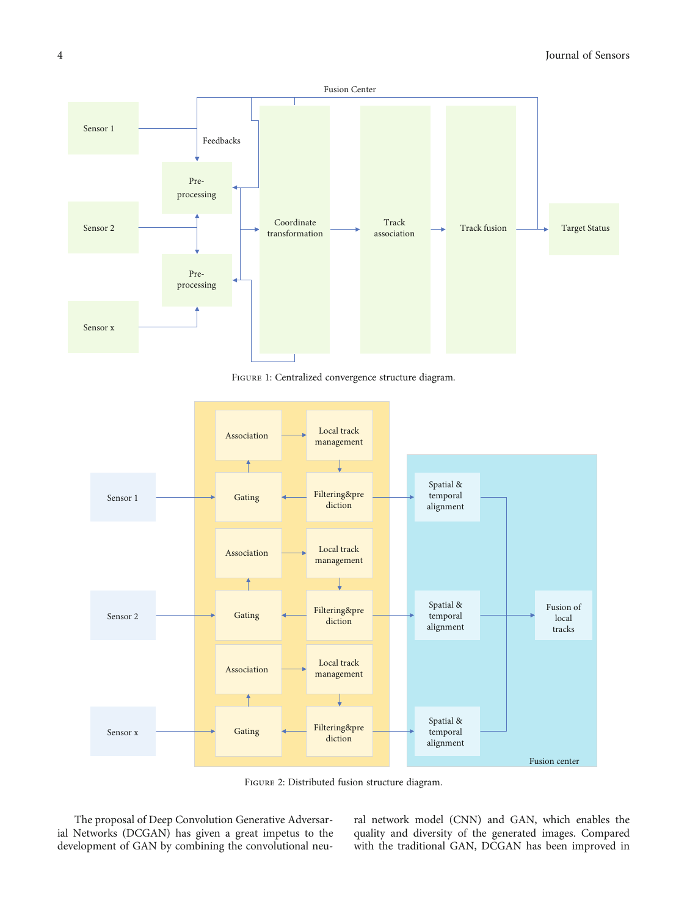<span id="page-3-0"></span>

Figure 1: Centralized convergence structure diagram.



Figure 2: Distributed fusion structure diagram.

The proposal of Deep Convolution Generative Adversarial Networks (DCGAN) has given a great impetus to the development of GAN by combining the convolutional neu-

ral network model (CNN) and GAN, which enables the quality and diversity of the generated images. Compared with the traditional GAN, DCGAN has been improved in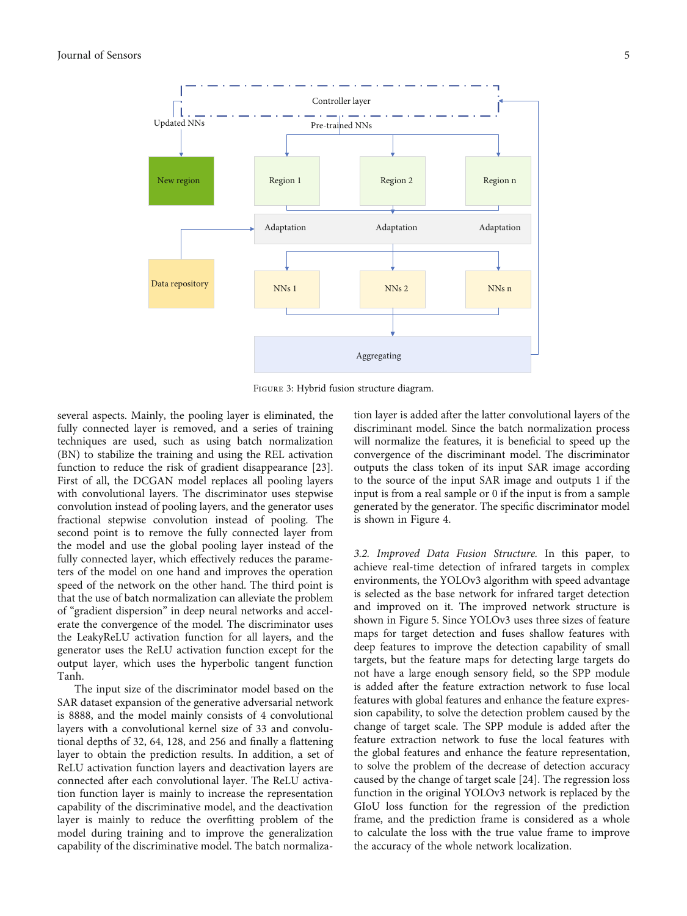<span id="page-4-0"></span>

Figure 3: Hybrid fusion structure diagram.

several aspects. Mainly, the pooling layer is eliminated, the fully connected layer is removed, and a series of training techniques are used, such as using batch normalization (BN) to stabilize the training and using the REL activation function to reduce the risk of gradient disappearance [[23](#page-11-0)]. First of all, the DCGAN model replaces all pooling layers with convolutional layers. The discriminator uses stepwise convolution instead of pooling layers, and the generator uses fractional stepwise convolution instead of pooling. The second point is to remove the fully connected layer from the model and use the global pooling layer instead of the fully connected layer, which effectively reduces the parameters of the model on one hand and improves the operation speed of the network on the other hand. The third point is that the use of batch normalization can alleviate the problem of "gradient dispersion" in deep neural networks and accelerate the convergence of the model. The discriminator uses the LeakyReLU activation function for all layers, and the generator uses the ReLU activation function except for the output layer, which uses the hyperbolic tangent function Tanh.

The input size of the discriminator model based on the SAR dataset expansion of the generative adversarial network is 8888, and the model mainly consists of 4 convolutional layers with a convolutional kernel size of 33 and convolutional depths of 32, 64, 128, and 256 and finally a flattening layer to obtain the prediction results. In addition, a set of ReLU activation function layers and deactivation layers are connected after each convolutional layer. The ReLU activation function layer is mainly to increase the representation capability of the discriminative model, and the deactivation layer is mainly to reduce the overfitting problem of the model during training and to improve the generalization capability of the discriminative model. The batch normalization layer is added after the latter convolutional layers of the discriminant model. Since the batch normalization process will normalize the features, it is beneficial to speed up the convergence of the discriminant model. The discriminator outputs the class token of its input SAR image according to the source of the input SAR image and outputs 1 if the input is from a real sample or 0 if the input is from a sample generated by the generator. The specific discriminator model is shown in Figure [4.](#page-5-0)

3.2. Improved Data Fusion Structure. In this paper, to achieve real-time detection of infrared targets in complex environments, the YOLOv3 algorithm with speed advantage is selected as the base network for infrared target detection and improved on it. The improved network structure is shown in Figure [5](#page-5-0). Since YOLOv3 uses three sizes of feature maps for target detection and fuses shallow features with deep features to improve the detection capability of small targets, but the feature maps for detecting large targets do not have a large enough sensory field, so the SPP module is added after the feature extraction network to fuse local features with global features and enhance the feature expression capability, to solve the detection problem caused by the change of target scale. The SPP module is added after the feature extraction network to fuse the local features with the global features and enhance the feature representation, to solve the problem of the decrease of detection accuracy caused by the change of target scale [\[24\]](#page-11-0). The regression loss function in the original YOLOv3 network is replaced by the GIoU loss function for the regression of the prediction frame, and the prediction frame is considered as a whole to calculate the loss with the true value frame to improve the accuracy of the whole network localization.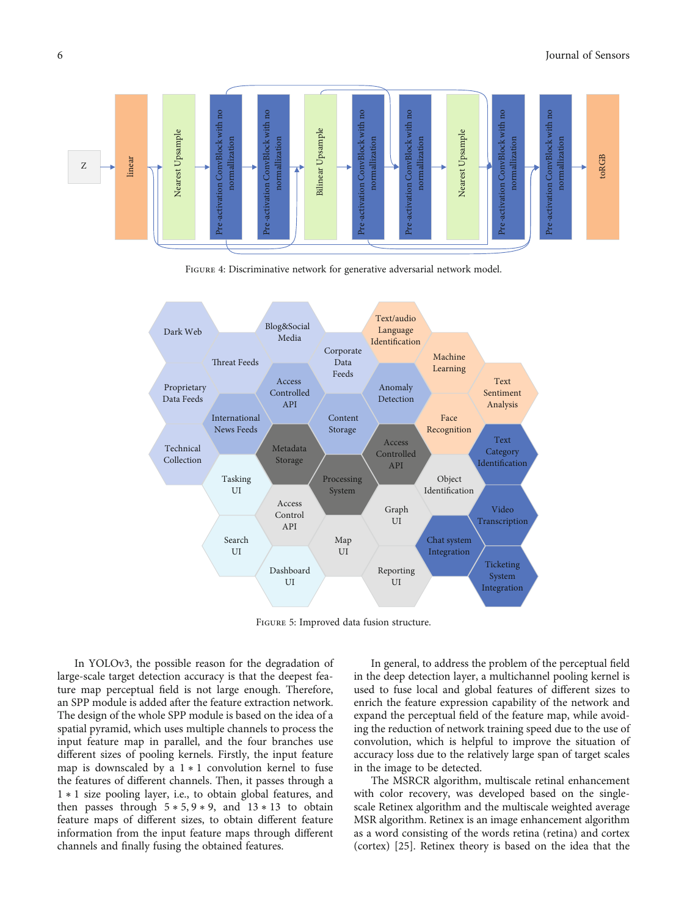<span id="page-5-0"></span>

Figure 4: Discriminative network for generative adversarial network model.



Figure 5: Improved data fusion structure.

In YOLOv3, the possible reason for the degradation of large-scale target detection accuracy is that the deepest feature map perceptual field is not large enough. Therefore, an SPP module is added after the feature extraction network. The design of the whole SPP module is based on the idea of a spatial pyramid, which uses multiple channels to process the input feature map in parallel, and the four branches use different sizes of pooling kernels. Firstly, the input feature map is downscaled by a  $1 * 1$  convolution kernel to fuse the features of different channels. Then, it passes through a 1 ∗ 1 size pooling layer, i.e., to obtain global features, and then passes through  $5 * 5, 9 * 9$ , and  $13 * 13$  to obtain feature maps of different sizes, to obtain different feature information from the input feature maps through different channels and finally fusing the obtained features.

In general, to address the problem of the perceptual field in the deep detection layer, a multichannel pooling kernel is used to fuse local and global features of different sizes to enrich the feature expression capability of the network and expand the perceptual field of the feature map, while avoiding the reduction of network training speed due to the use of convolution, which is helpful to improve the situation of accuracy loss due to the relatively large span of target scales in the image to be detected.

The MSRCR algorithm, multiscale retinal enhancement with color recovery, was developed based on the singlescale Retinex algorithm and the multiscale weighted average MSR algorithm. Retinex is an image enhancement algorithm as a word consisting of the words retina (retina) and cortex (cortex) [[25](#page-11-0)]. Retinex theory is based on the idea that the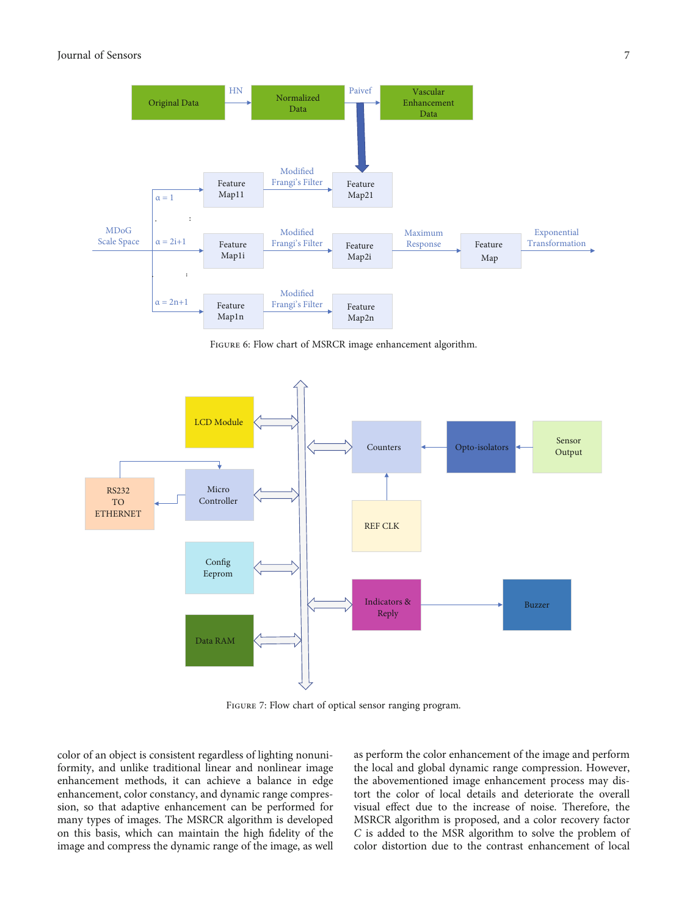<span id="page-6-0"></span>

Figure 6: Flow chart of MSRCR image enhancement algorithm.



Figure 7: Flow chart of optical sensor ranging program.

color of an object is consistent regardless of lighting nonuniformity, and unlike traditional linear and nonlinear image enhancement methods, it can achieve a balance in edge enhancement, color constancy, and dynamic range compression, so that adaptive enhancement can be performed for many types of images. The MSRCR algorithm is developed on this basis, which can maintain the high fidelity of the image and compress the dynamic range of the image, as well as perform the color enhancement of the image and perform the local and global dynamic range compression. However, the abovementioned image enhancement process may distort the color of local details and deteriorate the overall visual effect due to the increase of noise. Therefore, the MSRCR algorithm is proposed, and a color recovery factor *C* is added to the MSR algorithm to solve the problem of color distortion due to the contrast enhancement of local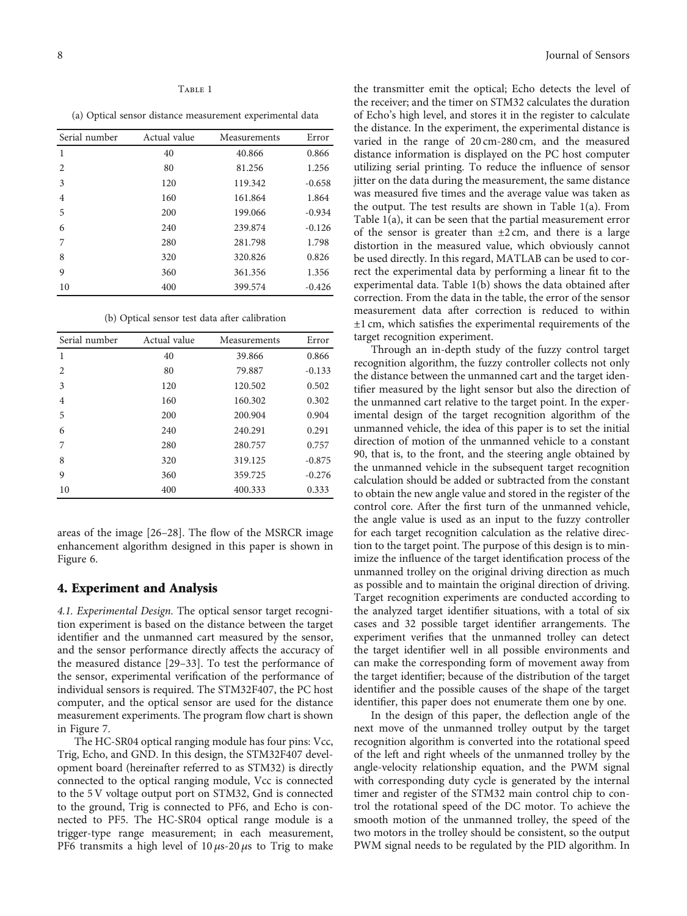#### Table <sup>1</sup>

(a) Optical sensor distance measurement experimental data

| Serial number  | Actual value | Measurements | Error    |
|----------------|--------------|--------------|----------|
| $\mathbf{1}$   | 40           | 40.866       | 0.866    |
| 2              | 80           | 81.256       | 1.256    |
| 3              | 120          | 119.342      | $-0.658$ |
| $\overline{4}$ | 160          | 161.864      | 1.864    |
| 5              | 200          | 199.066      | $-0.934$ |
| 6              | 240          | 239.874      | $-0.126$ |
| 7              | 280          | 281.798      | 1.798    |
| 8              | 320          | 320.826      | 0.826    |
| 9              | 360          | 361.356      | 1.356    |
| 10             | 400          | 399.574      | $-0.426$ |

(b) Optical sensor test data after calibration

| Serial number | Actual value | Measurements | Error    |
|---------------|--------------|--------------|----------|
| 1             | 40           | 39.866       | 0.866    |
| 2             | 80           | 79.887       | $-0.133$ |
| 3             | 120          | 120.502      | 0.502    |
| 4             | 160          | 160.302      | 0.302    |
| 5             | 200          | 200.904      | 0.904    |
| 6             | 240          | 240.291      | 0.291    |
| 7             | 280          | 280.757      | 0.757    |
| 8             | 320          | 319.125      | $-0.875$ |
| 9             | 360          | 359.725      | $-0.276$ |
| 10            | 400          | 400.333      | 0.333    |

areas of the image [\[26](#page-11-0)–[28\]](#page-11-0). The flow of the MSRCR image enhancement algorithm designed in this paper is shown in Figure [6](#page-6-0).

#### 4. Experiment and Analysis

4.1. Experimental Design. The optical sensor target recognition experiment is based on the distance between the target identifier and the unmanned cart measured by the sensor, and the sensor performance directly affects the accuracy of the measured distance [[29](#page-11-0)–[33\]](#page-11-0). To test the performance of the sensor, experimental verification of the performance of individual sensors is required. The STM32F407, the PC host computer, and the optical sensor are used for the distance measurement experiments. The program flow chart is shown in Figure [7](#page-6-0).

The HC-SR04 optical ranging module has four pins: Vcc, Trig, Echo, and GND. In this design, the STM32F407 development board (hereinafter referred to as STM32) is directly connected to the optical ranging module, Vcc is connected to the 5 V voltage output port on STM32, Gnd is connected to the ground, Trig is connected to PF6, and Echo is connected to PF5. The HC-SR04 optical range module is a trigger-type range measurement; in each measurement, PF6 transmits a high level of 10 *μ*s-20 *μ*s to Trig to make

the transmitter emit the optical; Echo detects the level of the receiver; and the timer on STM32 calculates the duration of Echo's high level, and stores it in the register to calculate the distance. In the experiment, the experimental distance is varied in the range of 20 cm-280 cm, and the measured distance information is displayed on the PC host computer utilizing serial printing. To reduce the influence of sensor jitter on the data during the measurement, the same distance was measured five times and the average value was taken as the output. The test results are shown in Table 1(a). From Table 1(a), it can be seen that the partial measurement error of the sensor is greater than  $\pm 2$  cm, and there is a large distortion in the measured value, which obviously cannot be used directly. In this regard, MATLAB can be used to correct the experimental data by performing a linear fit to the experimental data. Table 1(b) shows the data obtained after correction. From the data in the table, the error of the sensor measurement data after correction is reduced to within ±1 cm, which satisfies the experimental requirements of the target recognition experiment.

Through an in-depth study of the fuzzy control target recognition algorithm, the fuzzy controller collects not only the distance between the unmanned cart and the target identifier measured by the light sensor but also the direction of the unmanned cart relative to the target point. In the experimental design of the target recognition algorithm of the unmanned vehicle, the idea of this paper is to set the initial direction of motion of the unmanned vehicle to a constant 90, that is, to the front, and the steering angle obtained by the unmanned vehicle in the subsequent target recognition calculation should be added or subtracted from the constant to obtain the new angle value and stored in the register of the control core. After the first turn of the unmanned vehicle, the angle value is used as an input to the fuzzy controller for each target recognition calculation as the relative direction to the target point. The purpose of this design is to minimize the influence of the target identification process of the unmanned trolley on the original driving direction as much as possible and to maintain the original direction of driving. Target recognition experiments are conducted according to the analyzed target identifier situations, with a total of six cases and 32 possible target identifier arrangements. The experiment verifies that the unmanned trolley can detect the target identifier well in all possible environments and can make the corresponding form of movement away from the target identifier; because of the distribution of the target identifier and the possible causes of the shape of the target identifier, this paper does not enumerate them one by one.

In the design of this paper, the deflection angle of the next move of the unmanned trolley output by the target recognition algorithm is converted into the rotational speed of the left and right wheels of the unmanned trolley by the angle-velocity relationship equation, and the PWM signal with corresponding duty cycle is generated by the internal timer and register of the STM32 main control chip to control the rotational speed of the DC motor. To achieve the smooth motion of the unmanned trolley, the speed of the two motors in the trolley should be consistent, so the output PWM signal needs to be regulated by the PID algorithm. In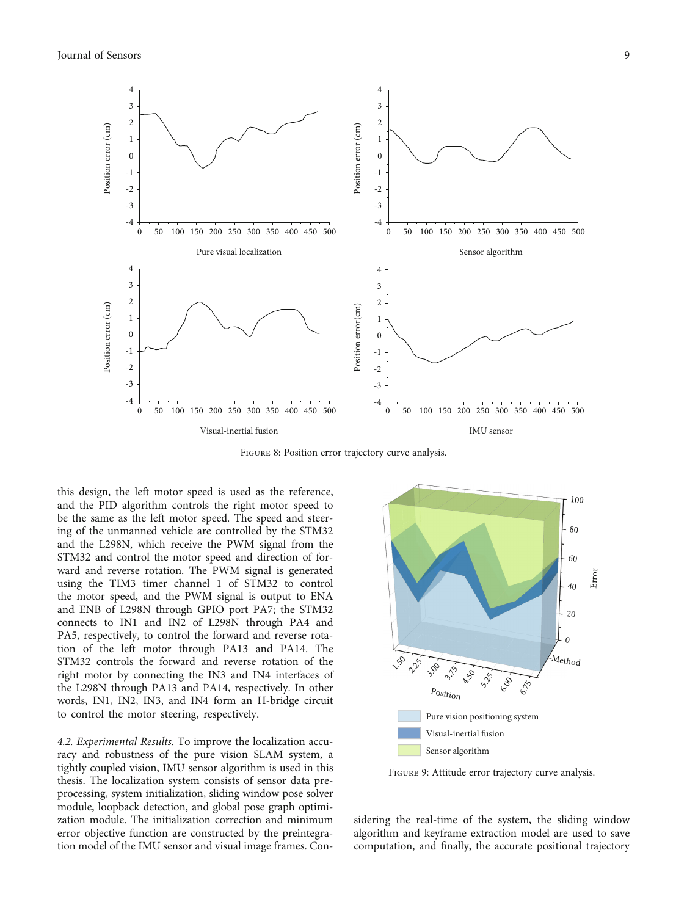<span id="page-8-0"></span>

Figure 8: Position error trajectory curve analysis.

this design, the left motor speed is used as the reference, and the PID algorithm controls the right motor speed to be the same as the left motor speed. The speed and steering of the unmanned vehicle are controlled by the STM32 and the L298N, which receive the PWM signal from the STM32 and control the motor speed and direction of forward and reverse rotation. The PWM signal is generated using the TIM3 timer channel 1 of STM32 to control the motor speed, and the PWM signal is output to ENA and ENB of L298N through GPIO port PA7; the STM32 connects to IN1 and IN2 of L298N through PA4 and PA5, respectively, to control the forward and reverse rotation of the left motor through PA13 and PA14. The STM32 controls the forward and reverse rotation of the right motor by connecting the IN3 and IN4 interfaces of the L298N through PA13 and PA14, respectively. In other words, IN1, IN2, IN3, and IN4 form an H-bridge circuit to control the motor steering, respectively.

4.2. Experimental Results. To improve the localization accuracy and robustness of the pure vision SLAM system, a tightly coupled vision, IMU sensor algorithm is used in this thesis. The localization system consists of sensor data preprocessing, system initialization, sliding window pose solver module, loopback detection, and global pose graph optimization module. The initialization correction and minimum error objective function are constructed by the preintegration model of the IMU sensor and visual image frames. Con-



Figure 9: Attitude error trajectory curve analysis.

sidering the real-time of the system, the sliding window algorithm and keyframe extraction model are used to save computation, and finally, the accurate positional trajectory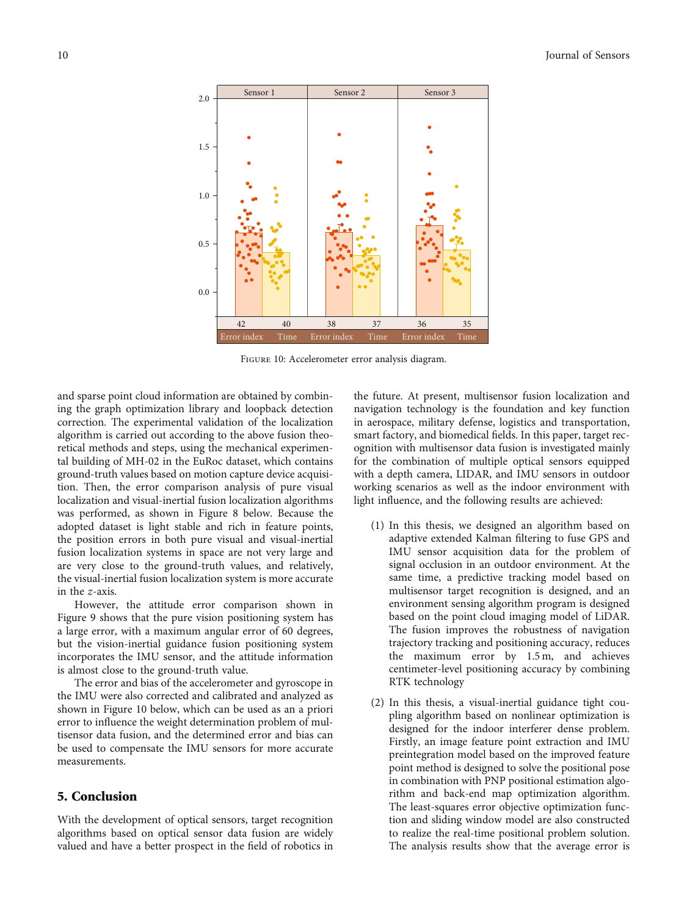

Figure 10: Accelerometer error analysis diagram.

and sparse point cloud information are obtained by combining the graph optimization library and loopback detection correction. The experimental validation of the localization algorithm is carried out according to the above fusion theoretical methods and steps, using the mechanical experimental building of MH-02 in the EuRoc dataset, which contains ground-truth values based on motion capture device acquisition. Then, the error comparison analysis of pure visual localization and visual-inertial fusion localization algorithms was performed, as shown in Figure [8](#page-8-0) below. Because the adopted dataset is light stable and rich in feature points, the position errors in both pure visual and visual-inertial fusion localization systems in space are not very large and are very close to the ground-truth values, and relatively, the visual-inertial fusion localization system is more accurate in the *z*-axis.

However, the attitude error comparison shown in Figure [9](#page-8-0) shows that the pure vision positioning system has a large error, with a maximum angular error of 60 degrees, but the vision-inertial guidance fusion positioning system incorporates the IMU sensor, and the attitude information is almost close to the ground-truth value.

The error and bias of the accelerometer and gyroscope in the IMU were also corrected and calibrated and analyzed as shown in Figure 10 below, which can be used as an a priori error to influence the weight determination problem of multisensor data fusion, and the determined error and bias can be used to compensate the IMU sensors for more accurate measurements.

## 5. Conclusion

With the development of optical sensors, target recognition algorithms based on optical sensor data fusion are widely valued and have a better prospect in the field of robotics in the future. At present, multisensor fusion localization and navigation technology is the foundation and key function in aerospace, military defense, logistics and transportation, smart factory, and biomedical fields. In this paper, target recognition with multisensor data fusion is investigated mainly for the combination of multiple optical sensors equipped with a depth camera, LIDAR, and IMU sensors in outdoor working scenarios as well as the indoor environment with light influence, and the following results are achieved:

- (1) In this thesis, we designed an algorithm based on adaptive extended Kalman filtering to fuse GPS and IMU sensor acquisition data for the problem of signal occlusion in an outdoor environment. At the same time, a predictive tracking model based on multisensor target recognition is designed, and an environment sensing algorithm program is designed based on the point cloud imaging model of LiDAR. The fusion improves the robustness of navigation trajectory tracking and positioning accuracy, reduces the maximum error by 1.5 m, and achieves centimeter-level positioning accuracy by combining RTK technology
- (2) In this thesis, a visual-inertial guidance tight coupling algorithm based on nonlinear optimization is designed for the indoor interferer dense problem. Firstly, an image feature point extraction and IMU preintegration model based on the improved feature point method is designed to solve the positional pose in combination with PNP positional estimation algorithm and back-end map optimization algorithm. The least-squares error objective optimization function and sliding window model are also constructed to realize the real-time positional problem solution. The analysis results show that the average error is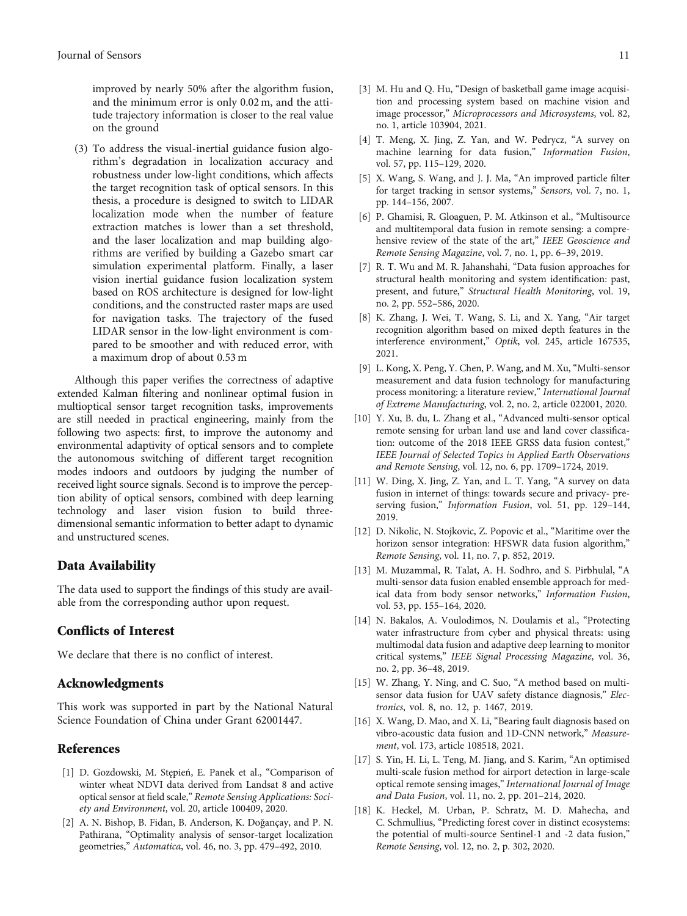<span id="page-10-0"></span>improved by nearly 50% after the algorithm fusion, and the minimum error is only 0.02 m, and the attitude trajectory information is closer to the real value on the ground

(3) To address the visual-inertial guidance fusion algorithm's degradation in localization accuracy and robustness under low-light conditions, which affects the target recognition task of optical sensors. In this thesis, a procedure is designed to switch to LIDAR localization mode when the number of feature extraction matches is lower than a set threshold, and the laser localization and map building algorithms are verified by building a Gazebo smart car simulation experimental platform. Finally, a laser vision inertial guidance fusion localization system based on ROS architecture is designed for low-light conditions, and the constructed raster maps are used for navigation tasks. The trajectory of the fused LIDAR sensor in the low-light environment is compared to be smoother and with reduced error, with a maximum drop of about 0.53 m

Although this paper verifies the correctness of adaptive extended Kalman filtering and nonlinear optimal fusion in multioptical sensor target recognition tasks, improvements are still needed in practical engineering, mainly from the following two aspects: first, to improve the autonomy and environmental adaptivity of optical sensors and to complete the autonomous switching of different target recognition modes indoors and outdoors by judging the number of received light source signals. Second is to improve the perception ability of optical sensors, combined with deep learning technology and laser vision fusion to build threedimensional semantic information to better adapt to dynamic and unstructured scenes.

## Data Availability

The data used to support the findings of this study are available from the corresponding author upon request.

### Conflicts of Interest

We declare that there is no conflict of interest.

#### Acknowledgments

This work was supported in part by the National Natural Science Foundation of China under Grant 62001447.

## References

- [1] D. Gozdowski, M. Stępień, E. Panek et al., "Comparison of winter wheat NDVI data derived from Landsat 8 and active optical sensor at field scale," Remote Sensing Applications: Society and Environment, vol. 20, article 100409, 2020.
- [2] A. N. Bishop, B. Fidan, B. Anderson, K. Doğançay, and P. N. Pathirana, "Optimality analysis of sensor-target localization geometries," Automatica, vol. 46, no. 3, pp. 479–492, 2010.
- [3] M. Hu and Q. Hu, "Design of basketball game image acquisition and processing system based on machine vision and image processor," Microprocessors and Microsystems, vol. 82, no. 1, article 103904, 2021.
- [4] T. Meng, X. Jing, Z. Yan, and W. Pedrycz, "A survey on machine learning for data fusion," Information Fusion, vol. 57, pp. 115–129, 2020.
- [5] X. Wang, S. Wang, and J. J. Ma, "An improved particle filter for target tracking in sensor systems," Sensors, vol. 7, no. 1, pp. 144–156, 2007.
- [6] P. Ghamisi, R. Gloaguen, P. M. Atkinson et al., "Multisource and multitemporal data fusion in remote sensing: a comprehensive review of the state of the art," IEEE Geoscience and Remote Sensing Magazine, vol. 7, no. 1, pp. 6–39, 2019.
- [7] R. T. Wu and M. R. Jahanshahi, "Data fusion approaches for structural health monitoring and system identification: past, present, and future," Structural Health Monitoring, vol. 19, no. 2, pp. 552–586, 2020.
- [8] K. Zhang, J. Wei, T. Wang, S. Li, and X. Yang, "Air target recognition algorithm based on mixed depth features in the interference environment," Optik, vol. 245, article 167535, 2021.
- [9] L. Kong, X. Peng, Y. Chen, P. Wang, and M. Xu, "Multi-sensor measurement and data fusion technology for manufacturing process monitoring: a literature review," International Journal of Extreme Manufacturing, vol. 2, no. 2, article 022001, 2020.
- [10] Y. Xu, B. du, L. Zhang et al., "Advanced multi-sensor optical remote sensing for urban land use and land cover classification: outcome of the 2018 IEEE GRSS data fusion contest," IEEE Journal of Selected Topics in Applied Earth Observations and Remote Sensing, vol. 12, no. 6, pp. 1709–1724, 2019.
- [11] W. Ding, X. Jing, Z. Yan, and L. T. Yang, "A survey on data fusion in internet of things: towards secure and privacy- preserving fusion," Information Fusion, vol. 51, pp. 129–144, 2019.
- [12] D. Nikolic, N. Stojkovic, Z. Popovic et al., "Maritime over the horizon sensor integration: HFSWR data fusion algorithm," Remote Sensing, vol. 11, no. 7, p. 852, 2019.
- [13] M. Muzammal, R. Talat, A. H. Sodhro, and S. Pirbhulal, "A multi-sensor data fusion enabled ensemble approach for medical data from body sensor networks," Information Fusion, vol. 53, pp. 155–164, 2020.
- [14] N. Bakalos, A. Voulodimos, N. Doulamis et al., "Protecting water infrastructure from cyber and physical threats: using multimodal data fusion and adaptive deep learning to monitor critical systems," IEEE Signal Processing Magazine, vol. 36, no. 2, pp. 36–48, 2019.
- [15] W. Zhang, Y. Ning, and C. Suo, "A method based on multisensor data fusion for UAV safety distance diagnosis," Electronics, vol. 8, no. 12, p. 1467, 2019.
- [16] X. Wang, D. Mao, and X. Li, "Bearing fault diagnosis based on vibro-acoustic data fusion and 1D-CNN network," Measurement, vol. 173, article 108518, 2021.
- [17] S. Yin, H. Li, L. Teng, M. Jiang, and S. Karim, "An optimised multi-scale fusion method for airport detection in large-scale optical remote sensing images," International Journal of Image and Data Fusion, vol. 11, no. 2, pp. 201–214, 2020.
- [18] K. Heckel, M. Urban, P. Schratz, M. D. Mahecha, and C. Schmullius, "Predicting forest cover in distinct ecosystems: the potential of multi-source Sentinel-1 and -2 data fusion," Remote Sensing, vol. 12, no. 2, p. 302, 2020.